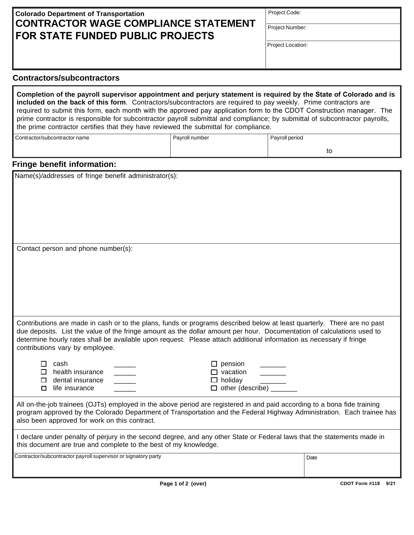## **Colorado Department of Transportation CONTRACTOR WAGE COMPLIANCE STATEMENT FOR STATE FUNDED PUBLIC PROJECTS**

Project Code:

Project Number:

Project Location:

## **Contractors/subcontractors**

**Completion of the payroll supervisor appointment and perjury statement is required by the State of Colorado and is included on the back of this form**. Contractors/subcontractors are required to pay weekly. Prime contractors are required to submit this form, each month with the approved pay application form to the CDOT Construction manager. The prime contractor is responsible for subcontractor payroll submittal and compliance; by submittal of subcontractor payrolls, the prime contractor certifies that they have reviewed the submittal for compliance.

| Contractor/subcontractor name | Pavroll number | Payroll period |  |
|-------------------------------|----------------|----------------|--|
|                               |                | w              |  |

## **Fringe benefit information:**

Name(s)/addresses of fringe benefit administrator(s):

Contact person and phone number(s):

Contributions are made in cash or to the plans, funds or programs described below at least quarterly. There are no past due deposits. List the value of the fringe amount as the dollar amount per hour. Documentation of calculations used to determine hourly rates shall be available upon request. Please attach additional information as necessary if fringe contributions vary by employee.

| $\sqcap$ cash              | $\Box$ pension          |
|----------------------------|-------------------------|
| $\square$ health insurance | $\Box$ vacation         |
| $\Box$ dental insurance    | $\Box$ holidav          |
| □ life insurance           | $\Box$ other (describe) |

All on-the-job trainees (OJTs) employed in the above period are registered in and paid according to a bona fide training program approved by the Colorado Department of Transportation and the Federal Highway Administration. Each trainee has also been approved for work on this contract.

I declare under penalty of perjury in the second degree, and any other State or Federal laws that the statements made in this document are true and complete to the best of my knowledge.

Contractor/subcontractor payroll supervisor or signatory party **Date**